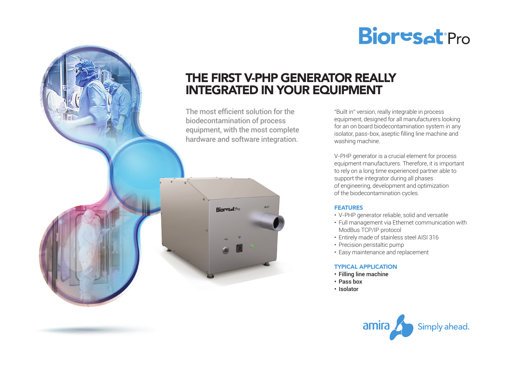

# THE FIRST V-PHP GENERATOR REALLY INTEGRATED IN YOUR EQUIPMENT

The most efficient solution for the biodecontamination of process equipment, with the most complete hardware and software integration.

**Rioreset** Pro

"Built in" version, really integrable in process equipment, designed for all manufacturers looking for an on board biodecontamination system in any isolator, pass-box, aseptic filling line machine and washing machine.

V-PHP generator is a crucial element for process equipment manufacturers. Therefore, it is important to rely on a long time experienced partner able to support the integrator during all phases of engineering, development and optimization of the biodecontamination cycles.

### **FEATURES**

- • V-PHP generator reliable, solid and versatile
- Full management via Ethernet communication with ModBus TCP/IP protocol
- Entirely made of stainless steel AISI 316
- Precision peristaltic pump
- Easy maintenance and replacement

## Typical Application

- • Filling line machine
- • Pass box
- • Isolator